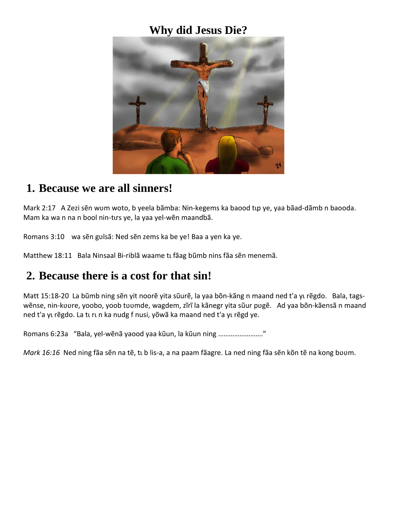#### **Why did Jesus Die?**



#### **1. Because we are all sinners!**

Mark 2:17 A Zezi sẽn wʊm woto, b yeela bãmba: Nin-kegems ka baood tup ye, yaa bãad-dãmb n baooda. Mam ka wa n na n bool nin-tırs ye, la yaa yel-wẽn maandbã.

Romans 3:10 wa sẽn gʋlsã: Ned sẽn zems ka be ye! Baa a yen ka ye.

Matthew 18:11 Bala Ninsaal Bi-riblã waame tu fãag bũmb nins fãa sẽn menemã.

### **2. Because there is a cost for that sin!**

Matt 15:18-20 La bũmb ning sẽn yit noorẽ yita sũurẽ, la yaa bõn-kãng n maand ned t'a yu rẽgdo. Bala, tagswẽnse, nin-kuure, yoobo, yoob tuumde, wagdem, zĩrĩ la kãnegr yita sũur pugẽ. Ad yaa bõn-kãensã n maand ned t'a yu rẽgdo. La tu run ka nudg f nusi, yõwã ka maand ned t'a yu rẽgd ye.

Romans 6:23a "Bala, yel-wẽnã yaood yaa kũun, la kũun ning ……………………."

*Mark 16:16* Ned ning fãa sẽn na tẽ, tub lis-a, a na paam fãagre. La ned ning fãa sẽn kõn tẽ na kong buum.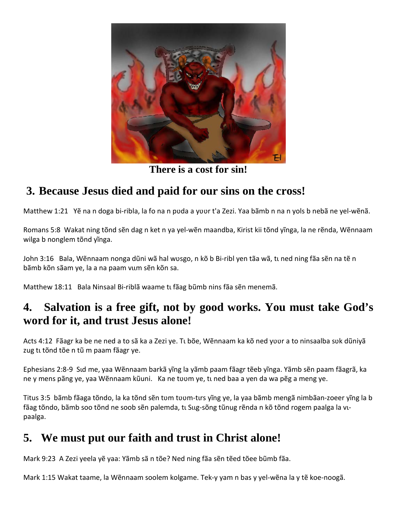

**There is a cost for sin!**

## **3. Because Jesus died and paid for our sins on the cross!**

Matthew 1:21 Yẽ na n doga bi-ribla, la fo na n puda a yuur t'a Zezi. Yaa bãmb n na n yols b nebã ne yel-wẽnã.

Romans 5:8 Wakat ning tõnd sẽn dag n ket n ya yel-wẽn maandba, Kirist kii tõnd yĩnga, la ne rẽnda, Wẽnnaam wilga b nonglem tõnd yĩnga.

John 3:16 Bala, Wẽnnaam nonga dũni wã hal wʊsgo, n kõ b Bi-ribl yen tãa wã, tɪ ned ning fãa sẽn na tẽ n bãmb kõn sãam ye, la a na paam vum sẽn kõn sa.

Matthew 18:11 Bala Ninsaal Bi-riblã waame tu fãag bũmb nins fãa sẽn menemã.

## **4. Salvation is a free gift, not by good works. You must take God's word for it, and trust Jesus alone!**

Acts 4:12 Fãagr ka be ne ned a to sã ka a Zezi ye. Tu bõe, Wẽnnaam ka kõ ned yuur a to ninsaalba suk dũniyã zug tī tõnd tõe n tũ m paam fãagr ye.

Ephesians 2:8-9 Sɩd me, yaa Wẽnnaam barkã yĩng la yãmb paam fãagr tẽeb yĩnga. Yãmb sẽn paam fãagrã, ka ne y mens pãng ye, yaa Wẽnnaam kũuni. Ka ne tuum ye, tu ned baa a yen da wa pẽg a meng ye.

Titus 3:5 bãmb fãaga tõndo, la ka tõnd sẽn tum tuum-tırs yĩng ye, la yaa bãmb mengã nimbãan-zoeer yĩng la b fãag tõndo, bãmb soo tõnd ne soob sẽn palemda, tī Sug-sõng tũnug rẽnda n kõ tõnd rogem paalga la vīpaalga.

# **5. We must put our faith and trust in Christ alone!**

Mark 9:23 A Zezi yeela yẽ yaa: Yãmb sã n tõe? Ned ning fãa sẽn tẽed tõee bũmb fãa.

Mark 1:15 Wakat taame, la Wẽnnaam soolem kolgame. Tek-y yam n bas y yel-wẽna la y tẽ koe-noogã.